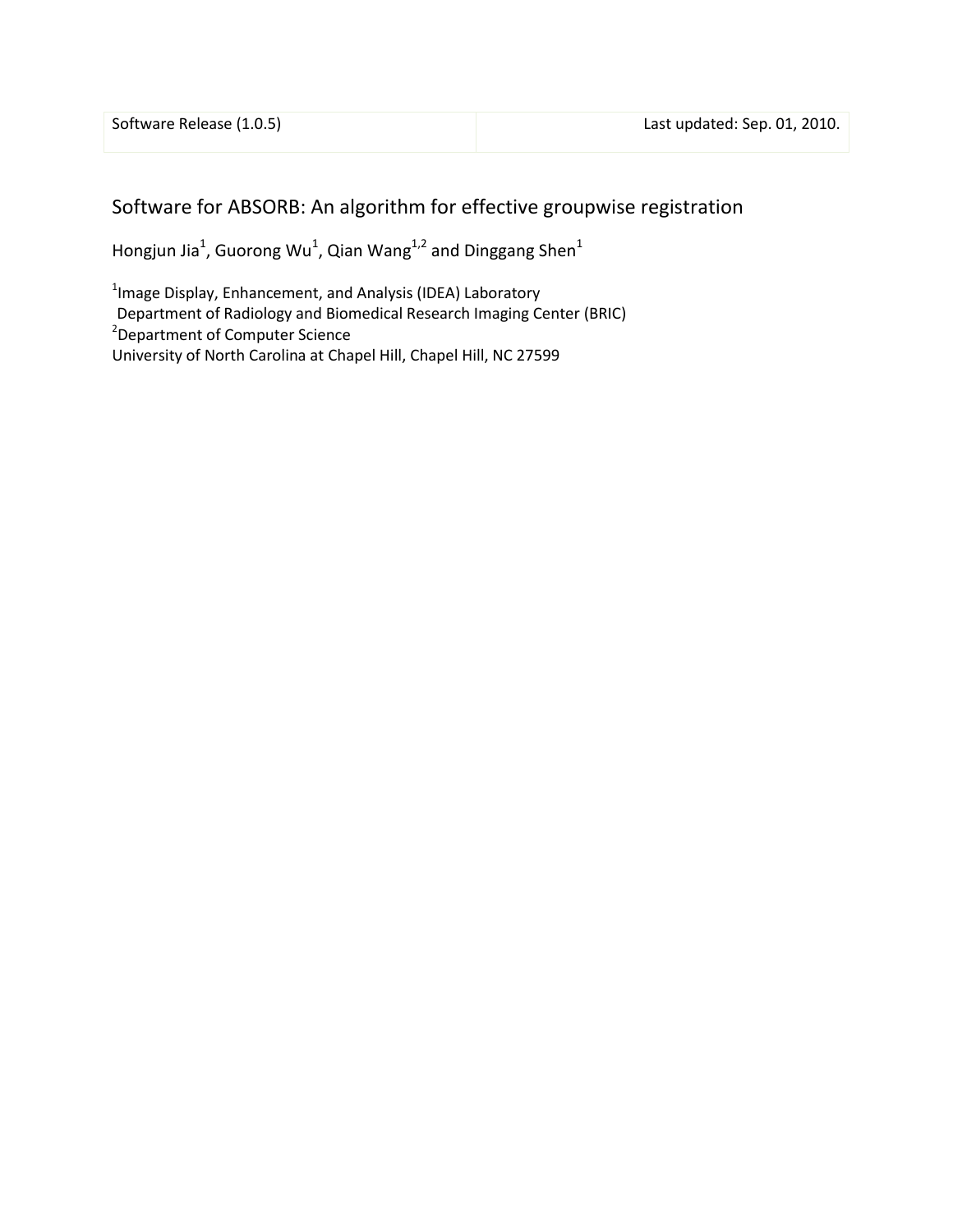| Software Release (1.0.5) | Last updated: Sep. 01, 2010. |
|--------------------------|------------------------------|
|                          |                              |

# Software for ABSORB: An algorithm for effective groupwise registration

Hongjun Jia<sup>1</sup>, Guorong Wu<sup>1</sup>, Qian Wang<sup>1,2</sup> and Dinggang Shen<sup>1</sup>

<sup>1</sup>Image Display, Enhancement, and Analysis (IDEA) Laboratory

```
 Department of Radiology and Biomedical Research Imaging Center (BRIC)
```
<sup>2</sup>Department of Computer Science

University of North Carolina at Chapel Hill, Chapel Hill, NC 27599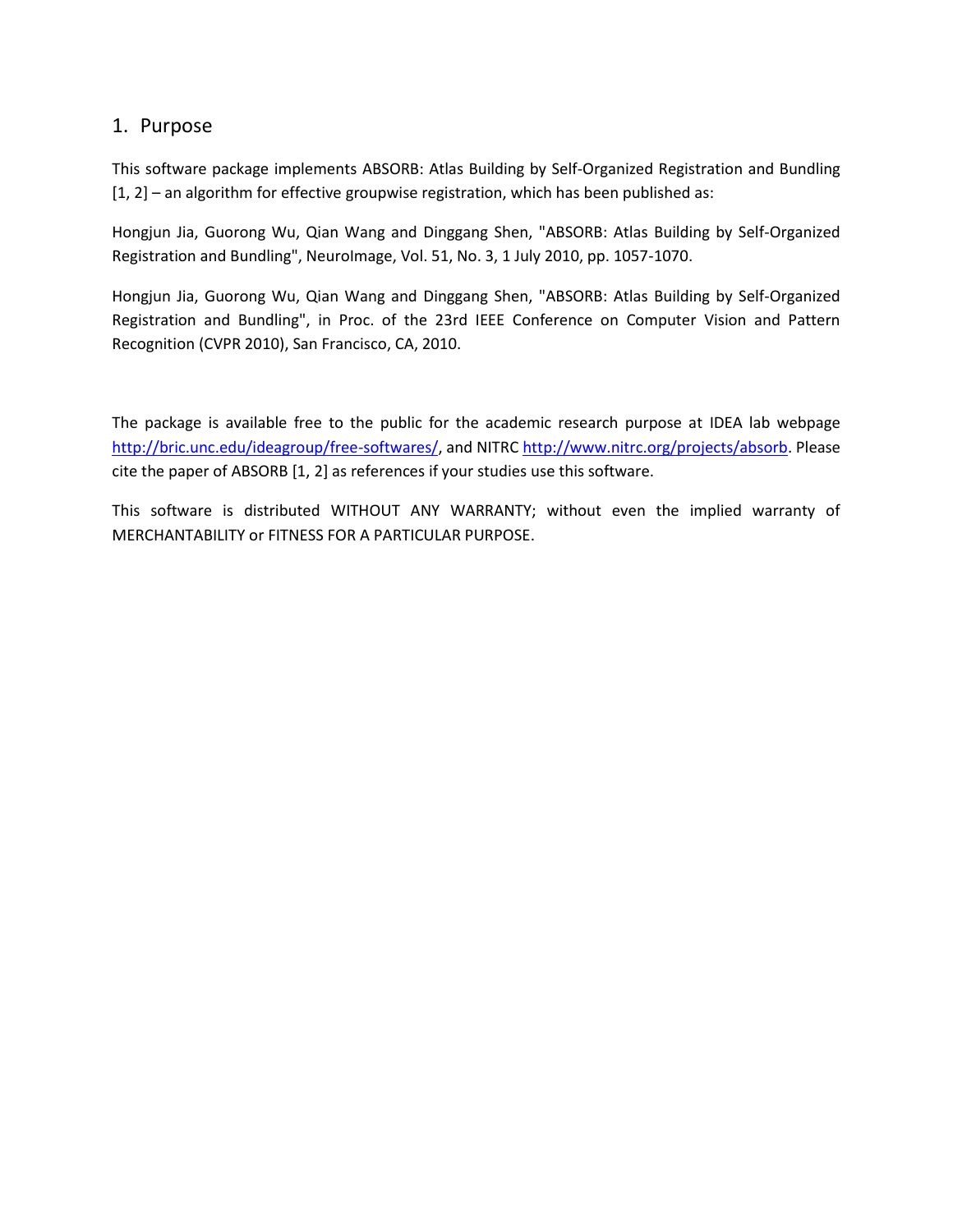## 1. Purpose

This software package implements ABSORB: Atlas Building by Self-Organized Registration and Bundling [1, 2] – an algorithm for effective groupwise registration, which has been published as:

Hongjun Jia, Guorong Wu, Qian Wang and Dinggang Shen, "ABSORB: Atlas Building by Self-Organized Registration and Bundling", NeuroImage, Vol. 51, No. 3, 1 July 2010, pp. 1057-1070.

Hongjun Jia, Guorong Wu, Qian Wang and Dinggang Shen, "ABSORB: Atlas Building by Self-Organized Registration and Bundling", in Proc. of the 23rd IEEE Conference on Computer Vision and Pattern Recognition (CVPR 2010), San Francisco, CA, 2010.

The package is available free to the public for the academic research purpose at IDEA lab webpage [http://bric.unc.edu/ideagroup/free-softwares/,](http://bric.unc.edu/ideagroup/free-softwares/) and NITRC [http://www.nitrc.org/projects/absorb.](http://www.nitrc.org/projects/absorb) Please cite the paper of ABSORB [1, 2] as references if your studies use this software.

This software is distributed WITHOUT ANY WARRANTY; without even the implied warranty of MERCHANTABILITY or FITNESS FOR A PARTICULAR PURPOSE.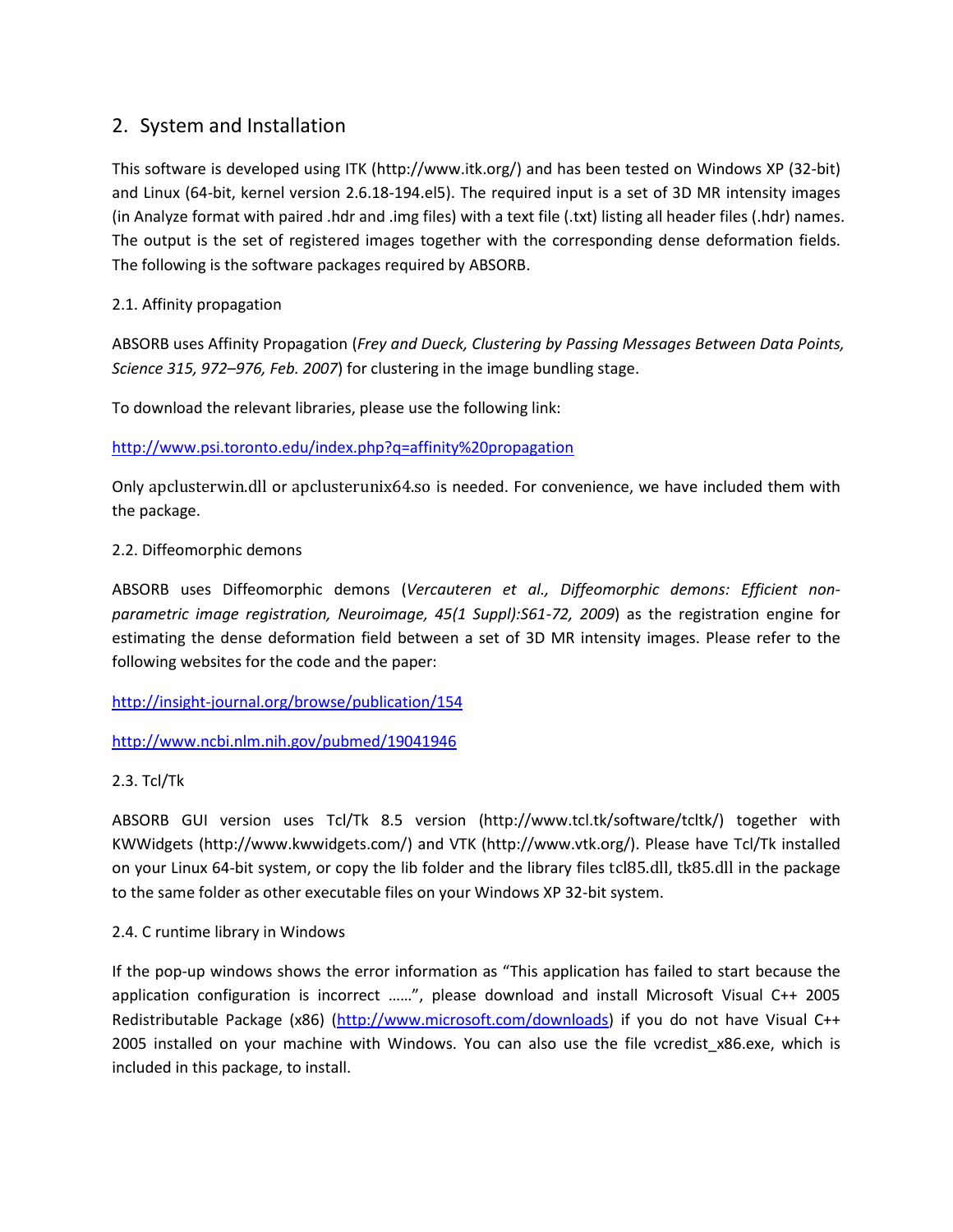# 2. System and Installation

This software is developed using ITK (http://www.itk.org/) and has been tested on Windows XP (32-bit) and Linux (64-bit, kernel version 2.6.18-194.el5). The required input is a set of 3D MR intensity images (in Analyze format with paired .hdr and .img files) with a text file (.txt) listing all header files (.hdr) names. The output is the set of registered images together with the corresponding dense deformation fields. The following is the software packages required by ABSORB.

## 2.1. Affinity propagation

ABSORB uses Affinity Propagation (*Frey and Dueck, Clustering by Passing Messages Between Data Points, Science 315, 972–976, Feb. 2007*) for clustering in the image bundling stage.

To download the relevant libraries, please use the following link:

<http://www.psi.toronto.edu/index.php?q=affinity%20propagation>

Only apclusterwin.dll or apclusterunix64.so is needed. For convenience, we have included them with the package.

## 2.2. Diffeomorphic demons

ABSORB uses Diffeomorphic demons (*Vercauteren et al., Diffeomorphic demons: Efficient nonparametric image registration, Neuroimage, 45(1 Suppl):S61-72, 2009*) as the registration engine for estimating the dense deformation field between a set of 3D MR intensity images. Please refer to the following websites for the code and the paper:

<http://insight-journal.org/browse/publication/154>

<http://www.ncbi.nlm.nih.gov/pubmed/19041946>

## 2.3. Tcl/Tk

ABSORB GUI version uses Tcl/Tk 8.5 version (http://www.tcl.tk/software/tcltk/) together with KWWidgets (http://www.kwwidgets.com/) and VTK (http://www.vtk.org/). Please have Tcl/Tk installed on your Linux 64-bit system, or copy the lib folder and the library files tcl85.dll, tk85.dll in the package to the same folder as other executable files on your Windows XP 32-bit system.

## 2.4. C runtime library in Windows

If the pop-up windows shows the error information as "This application has failed to start because the application configuration is incorrect ……", please download and install Microsoft Visual C++ 2005 Redistributable Package (x86) [\(http://www.microsoft.com/downloads\)](http://www.microsoft.com/downloads) if you do not have Visual C++ 2005 installed on your machine with Windows. You can also use the file vcredist x86.exe, which is included in this package, to install.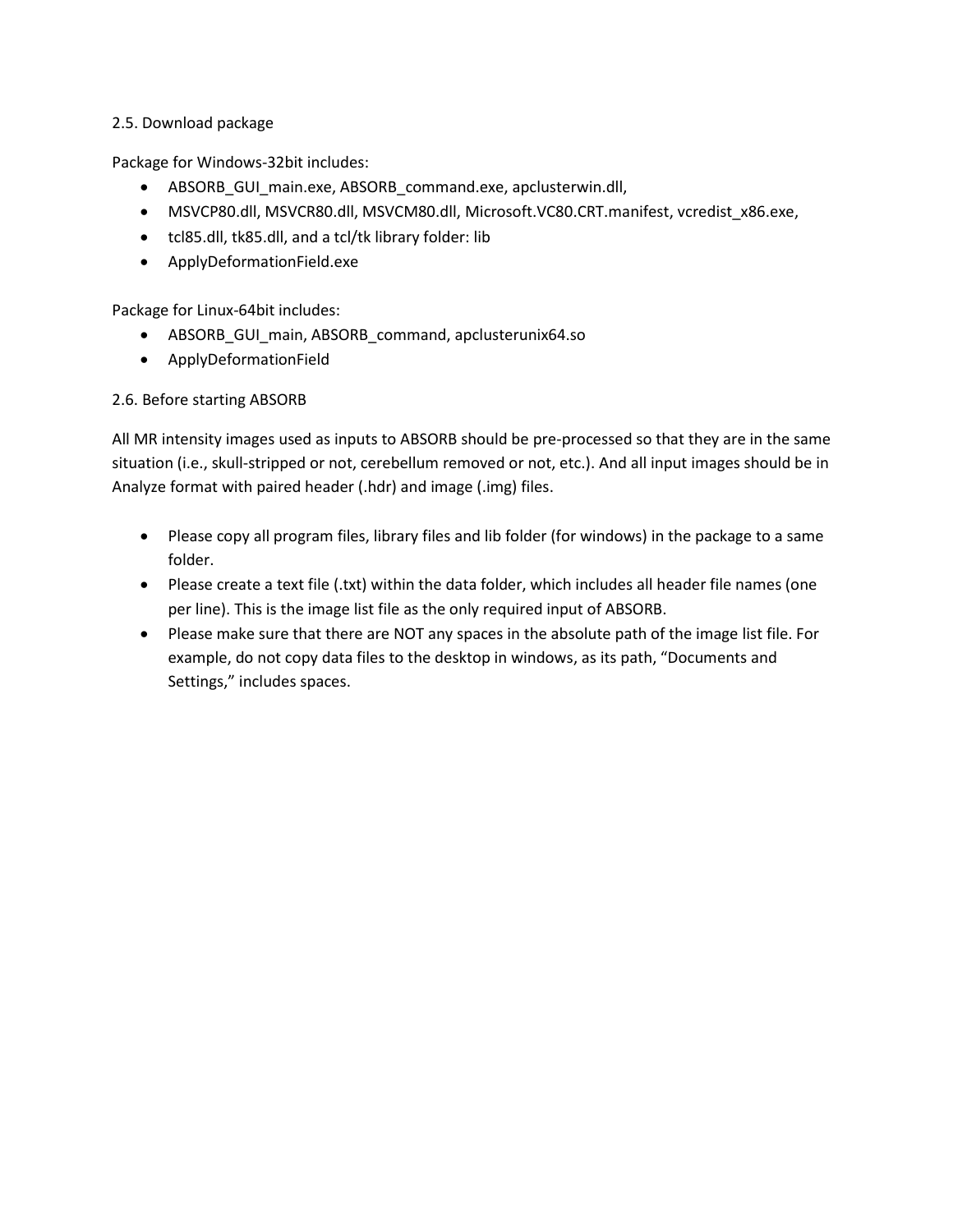### 2.5. Download package

Package for Windows-32bit includes:

- ABSORB\_GUI\_main.exe, ABSORB\_command.exe, apclusterwin.dll,
- MSVCP80.dll, MSVCR80.dll, MSVCM80.dll, Microsoft.VC80.CRT.manifest, vcredist\_x86.exe,
- tcl85.dll, tk85.dll, and a tcl/tk library folder: lib
- ApplyDeformationField.exe

Package for Linux-64bit includes:

- ABSORB\_GUI\_main, ABSORB\_command, apclusterunix64.so
- ApplyDeformationField

2.6. Before starting ABSORB

All MR intensity images used as inputs to ABSORB should be pre-processed so that they are in the same situation (i.e., skull-stripped or not, cerebellum removed or not, etc.). And all input images should be in Analyze format with paired header (.hdr) and image (.img) files.

- Please copy all program files, library files and lib folder (for windows) in the package to a same folder.
- Please create a text file (.txt) within the data folder, which includes all header file names (one per line). This is the image list file as the only required input of ABSORB.
- Please make sure that there are NOT any spaces in the absolute path of the image list file. For example, do not copy data files to the desktop in windows, as its path, "Documents and Settings," includes spaces.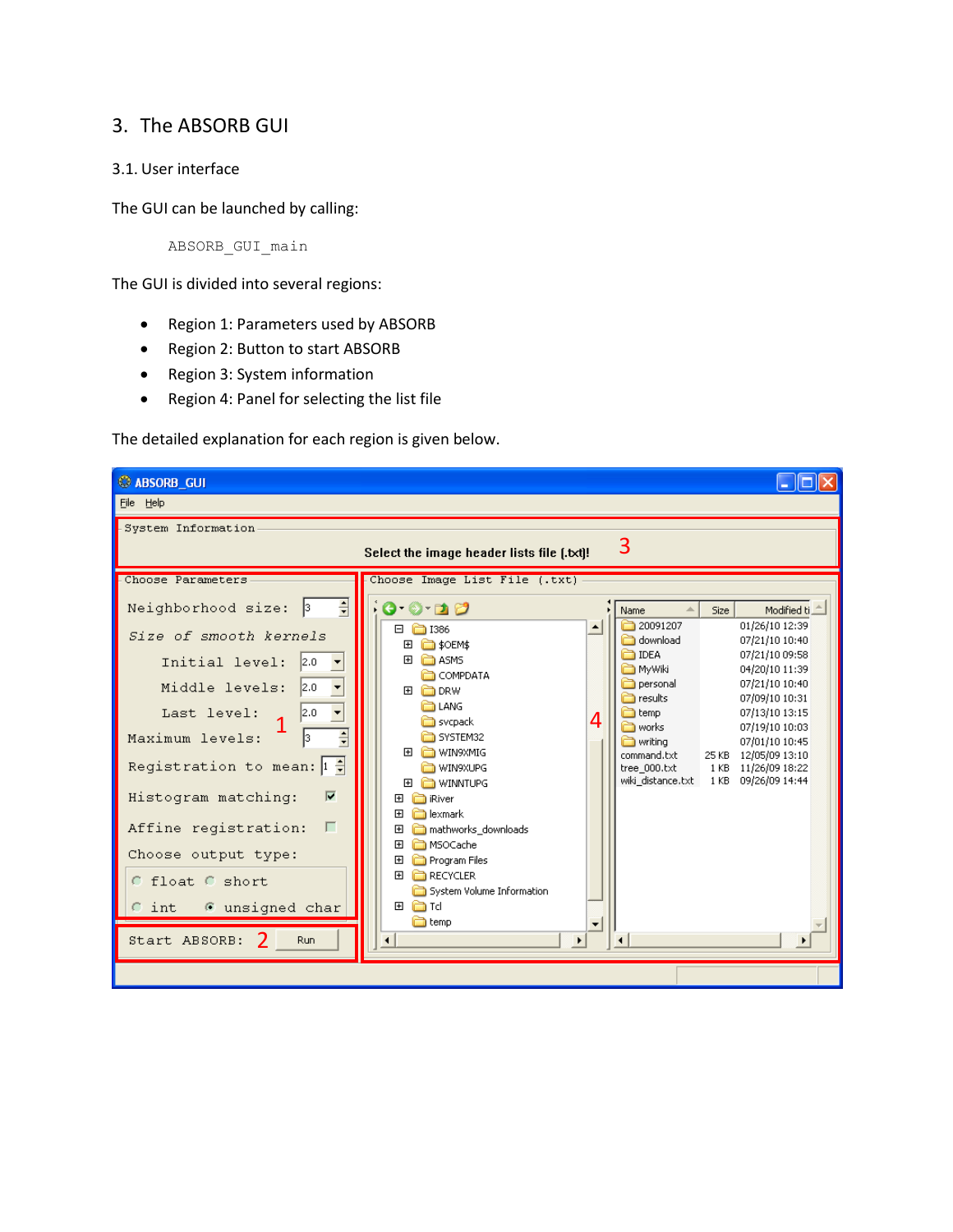## 3. The ABSORB GUI

### 3.1. User interface

The GUI can be launched by calling:

ABSORB\_GUI\_main

The GUI is divided into several regions:

- Region 1: Parameters used by ABSORB
- Region 2: Button to start ABSORB
- Region 3: System information
- Region 4: Panel for selecting the list file

The detailed explanation for each region is given below.

| C ABSORB GUI                                            |                                                         |                                                                                                                                 |  |  |  |  |
|---------------------------------------------------------|---------------------------------------------------------|---------------------------------------------------------------------------------------------------------------------------------|--|--|--|--|
| File Help                                               |                                                         |                                                                                                                                 |  |  |  |  |
| Svstem Information                                      |                                                         |                                                                                                                                 |  |  |  |  |
| 3<br>Select the image header lists file [.txt]!         |                                                         |                                                                                                                                 |  |  |  |  |
| - Choose Parameters<br>Choose Image List File (.txt) -  |                                                         |                                                                                                                                 |  |  |  |  |
| $\frac{1}{\sqrt{2}}$<br>Neighborhood size:<br>$\vert$ 3 | $\bullet$ $\bullet$ $\bullet$ $\bullet$                 | Modified ti<br>Name<br><b>Size</b>                                                                                              |  |  |  |  |
| Size of smooth kernels                                  | ▲<br>Θ<br>1386<br><b>EX \$OEM\$</b><br>⊞                | ∂ 20091207<br>01/26/10 12:39<br>download<br>07/21/10 10:40                                                                      |  |  |  |  |
| Initial level:<br> 2.0                                  | 田<br><b>ASMS</b>                                        | <b>E</b> IDEA<br>07/21/10 09:58<br><b>MyWiki</b><br>04/20/10 11:39                                                              |  |  |  |  |
| Middle levels:<br> 2.0                                  | COMPDATA<br><b>DRW</b><br>田                             | personal<br>07/21/10 10:40<br>a results                                                                                         |  |  |  |  |
| 2.0<br>Last level:                                      | <b>LANG</b><br>4<br>svcpack                             | 07/09/10 10:31<br>temp<br>07/13/10 13:15                                                                                        |  |  |  |  |
| $\div$<br>Maximum levels:<br>Iз.                        | SYSTEM32                                                | <b>no</b> n works<br>07/19/10 10:03<br>writing<br>07/01/10 10:45                                                                |  |  |  |  |
| Registration to mean: $\left 1\right $                  | WIN9XMIG<br>田<br>WIN9XUPG                               | command.txt<br>12/05/09 13:10<br>25 KB<br>tree 000.txt<br>1 KB<br>11/26/09 18:22<br>wiki distance.txt<br>09/26/09 14:44<br>1 KB |  |  |  |  |
| $\overline{v}$<br>Histogram matching:                   | WINNTUPG<br>田<br>Ŧ<br>iRiver                            |                                                                                                                                 |  |  |  |  |
| г<br>Affine reqistration:                               | exmark<br>田<br>mathworks_downloads<br>Ŧ                 |                                                                                                                                 |  |  |  |  |
| Choose output type:                                     | <b>MSOCache</b><br>田<br>Program Files<br>⊞              |                                                                                                                                 |  |  |  |  |
| float $\theta$ short<br>C.                              | <b>RECYCLER</b><br>Ð                                    |                                                                                                                                 |  |  |  |  |
| @ unsigned char<br>$\circ$ int                          | System Volume Information<br>国 全 Td                     |                                                                                                                                 |  |  |  |  |
| Start ABSORB:<br>- 2<br>Run.                            | temp<br>$\overline{\phantom{a}}$<br>$\blacksquare$<br>٠ | $\blacktriangleleft$                                                                                                            |  |  |  |  |
|                                                         |                                                         |                                                                                                                                 |  |  |  |  |
|                                                         |                                                         |                                                                                                                                 |  |  |  |  |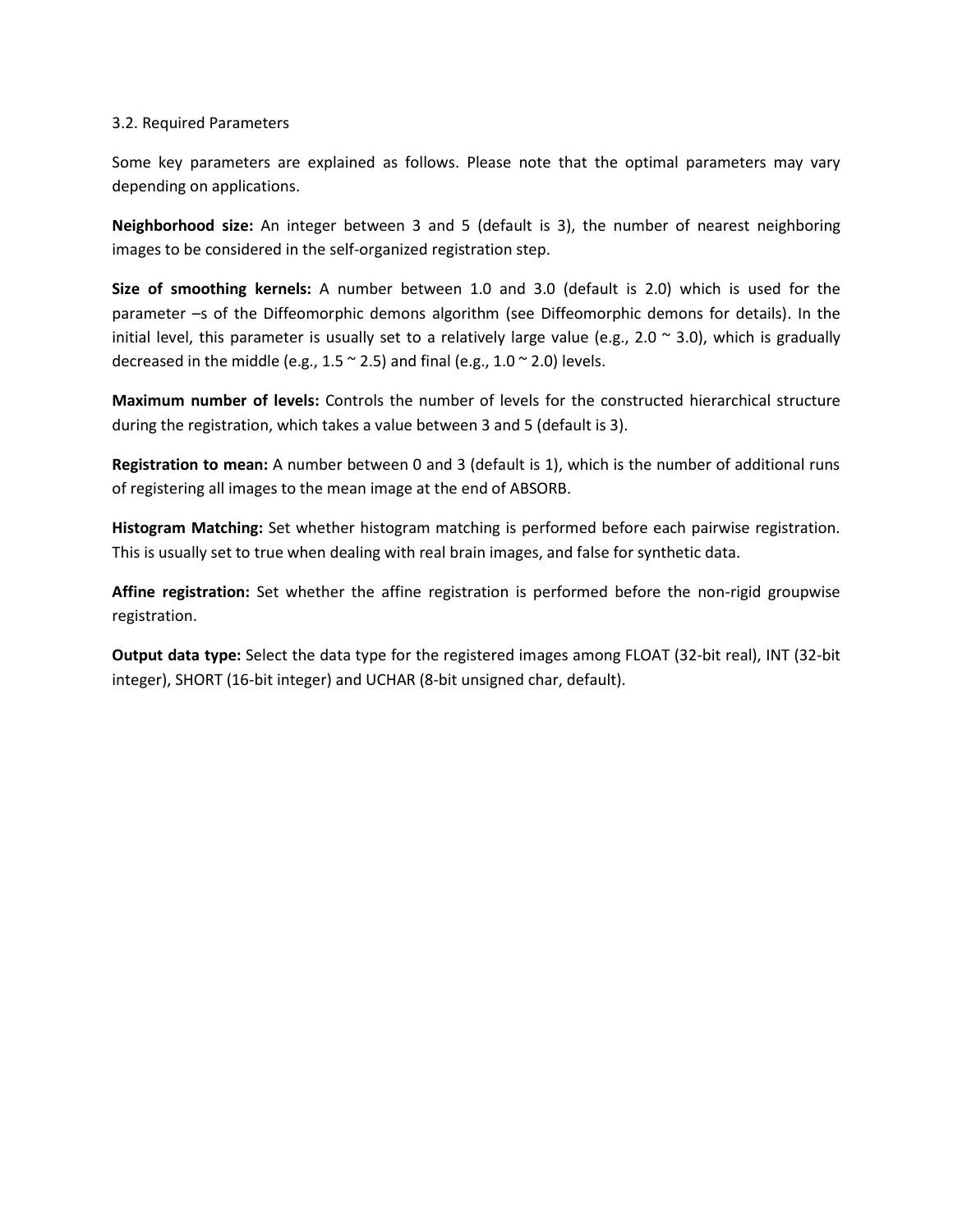#### 3.2. Required Parameters

Some key parameters are explained as follows. Please note that the optimal parameters may vary depending on applications.

**Neighborhood size:** An integer between 3 and 5 (default is 3), the number of nearest neighboring images to be considered in the self-organized registration step.

**Size of smoothing kernels:** A number between 1.0 and 3.0 (default is 2.0) which is used for the parameter –s of the Diffeomorphic demons algorithm (see Diffeomorphic demons for details). In the initial level, this parameter is usually set to a relatively large value (e.g., 2.0  $\sim$  3.0), which is gradually decreased in the middle (e.g., 1.5  $\approx$  2.5) and final (e.g., 1.0  $\approx$  2.0) levels.

**Maximum number of levels:** Controls the number of levels for the constructed hierarchical structure during the registration, which takes a value between 3 and 5 (default is 3).

**Registration to mean:** A number between 0 and 3 (default is 1), which is the number of additional runs of registering all images to the mean image at the end of ABSORB.

**Histogram Matching:** Set whether histogram matching is performed before each pairwise registration. This is usually set to true when dealing with real brain images, and false for synthetic data.

**Affine registration:** Set whether the affine registration is performed before the non-rigid groupwise registration.

**Output data type:** Select the data type for the registered images among FLOAT (32-bit real), INT (32-bit integer), SHORT (16-bit integer) and UCHAR (8-bit unsigned char, default).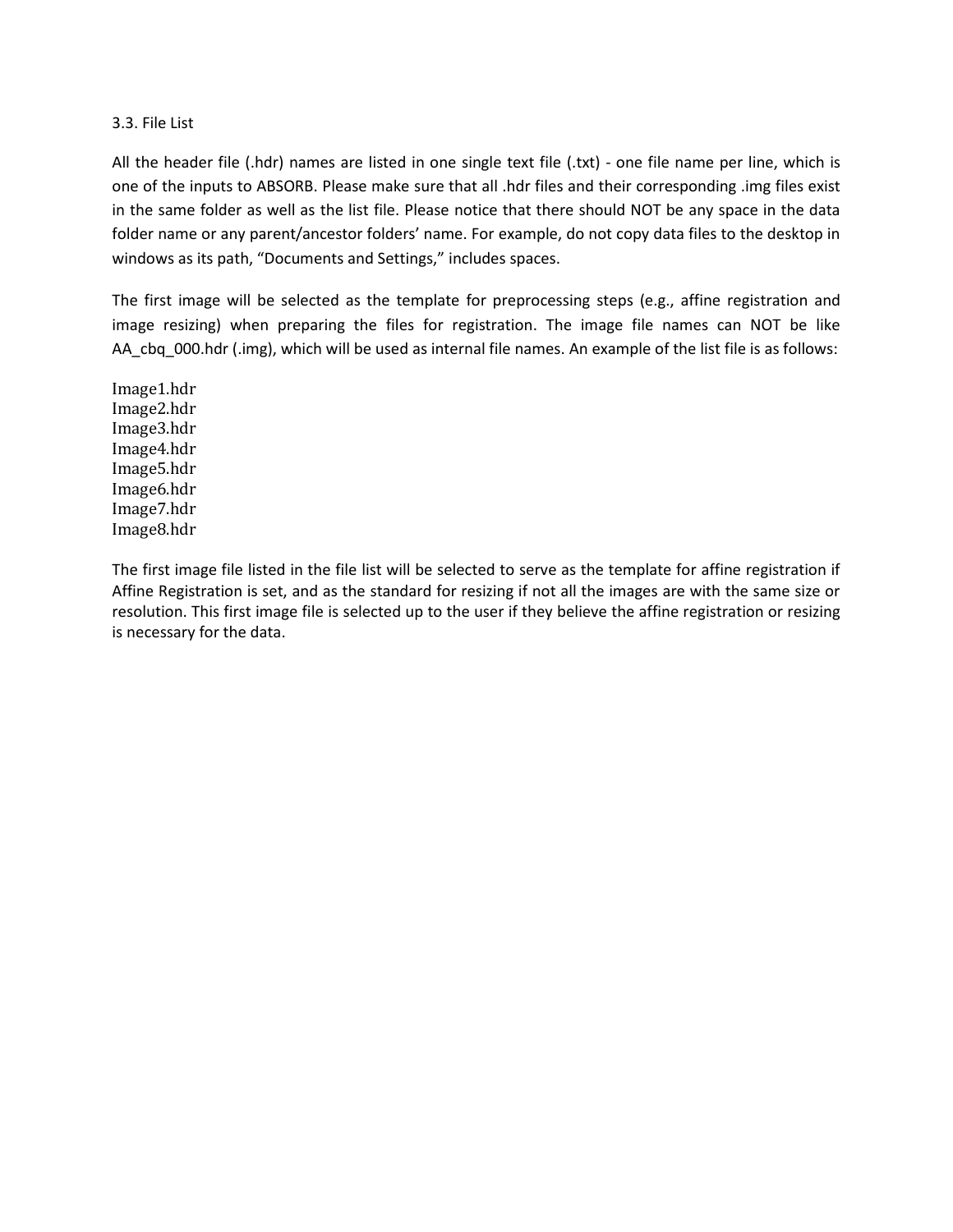#### 3.3. File List

All the header file (.hdr) names are listed in one single text file (.txt) - one file name per line, which is one of the inputs to ABSORB. Please make sure that all .hdr files and their corresponding .img files exist in the same folder as well as the list file. Please notice that there should NOT be any space in the data folder name or any parent/ancestor folders' name. For example, do not copy data files to the desktop in windows as its path, "Documents and Settings," includes spaces.

The first image will be selected as the template for preprocessing steps (e.g., affine registration and image resizing) when preparing the files for registration. The image file names can NOT be like AA\_cbq\_000.hdr (.img), which will be used as internal file names. An example of the list file is as follows:

Image1.hdr Image2.hdr Image3.hdr Image4.hdr Image5.hdr Image6.hdr Image7.hdr Image8.hdr

The first image file listed in the file list will be selected to serve as the template for affine registration if Affine Registration is set, and as the standard for resizing if not all the images are with the same size or resolution. This first image file is selected up to the user if they believe the affine registration or resizing is necessary for the data.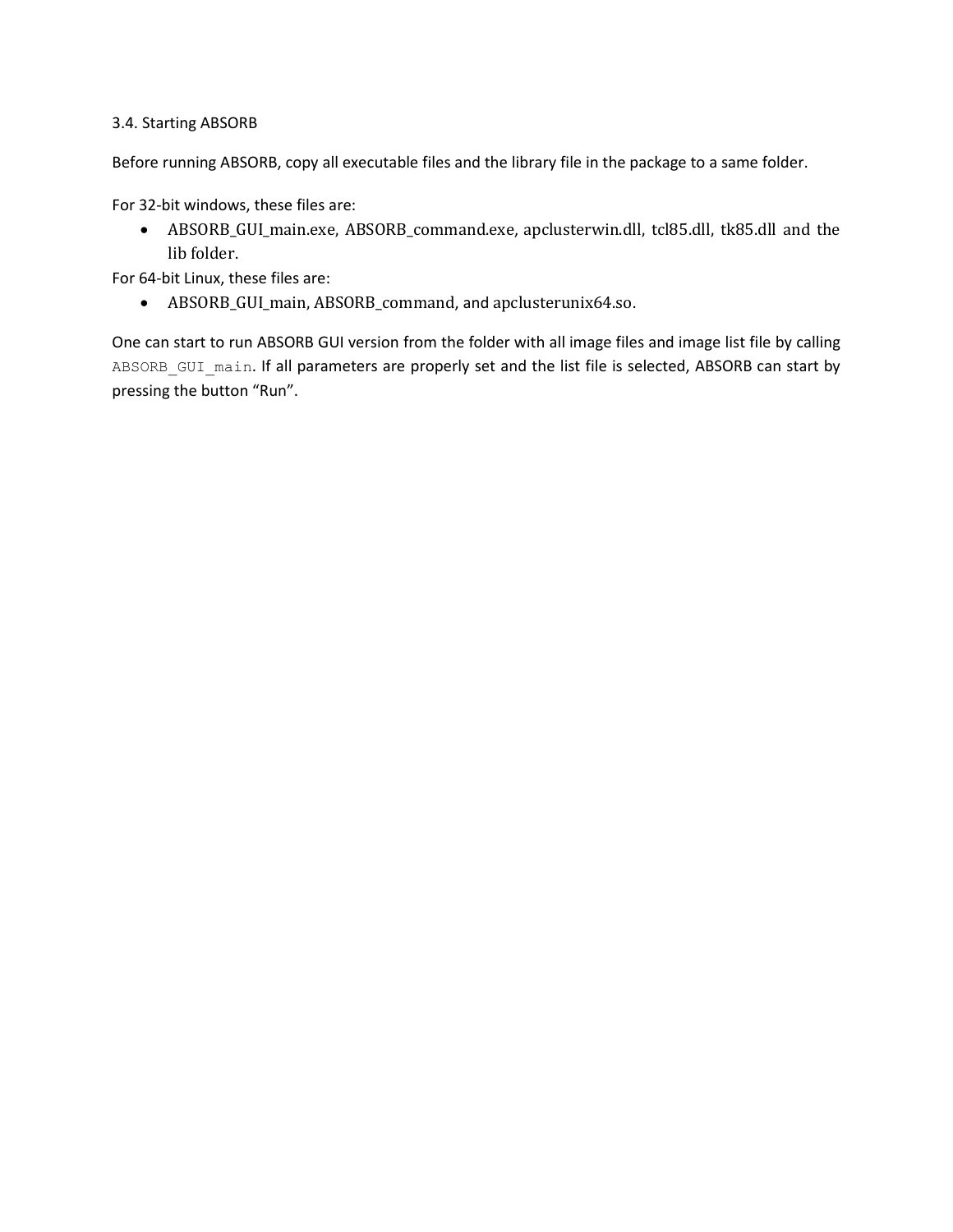## 3.4. Starting ABSORB

Before running ABSORB, copy all executable files and the library file in the package to a same folder.

For 32-bit windows, these files are:

 ABSORB\_GUI\_main.exe, ABSORB\_command.exe, apclusterwin.dll, tcl85.dll, tk85.dll and the lib folder.

For 64-bit Linux, these files are:

ABSORB\_GUI\_main, ABSORB\_command, and apclusterunix64.so.

One can start to run ABSORB GUI version from the folder with all image files and image list file by calling ABSORB GUI main. If all parameters are properly set and the list file is selected, ABSORB can start by pressing the button "Run".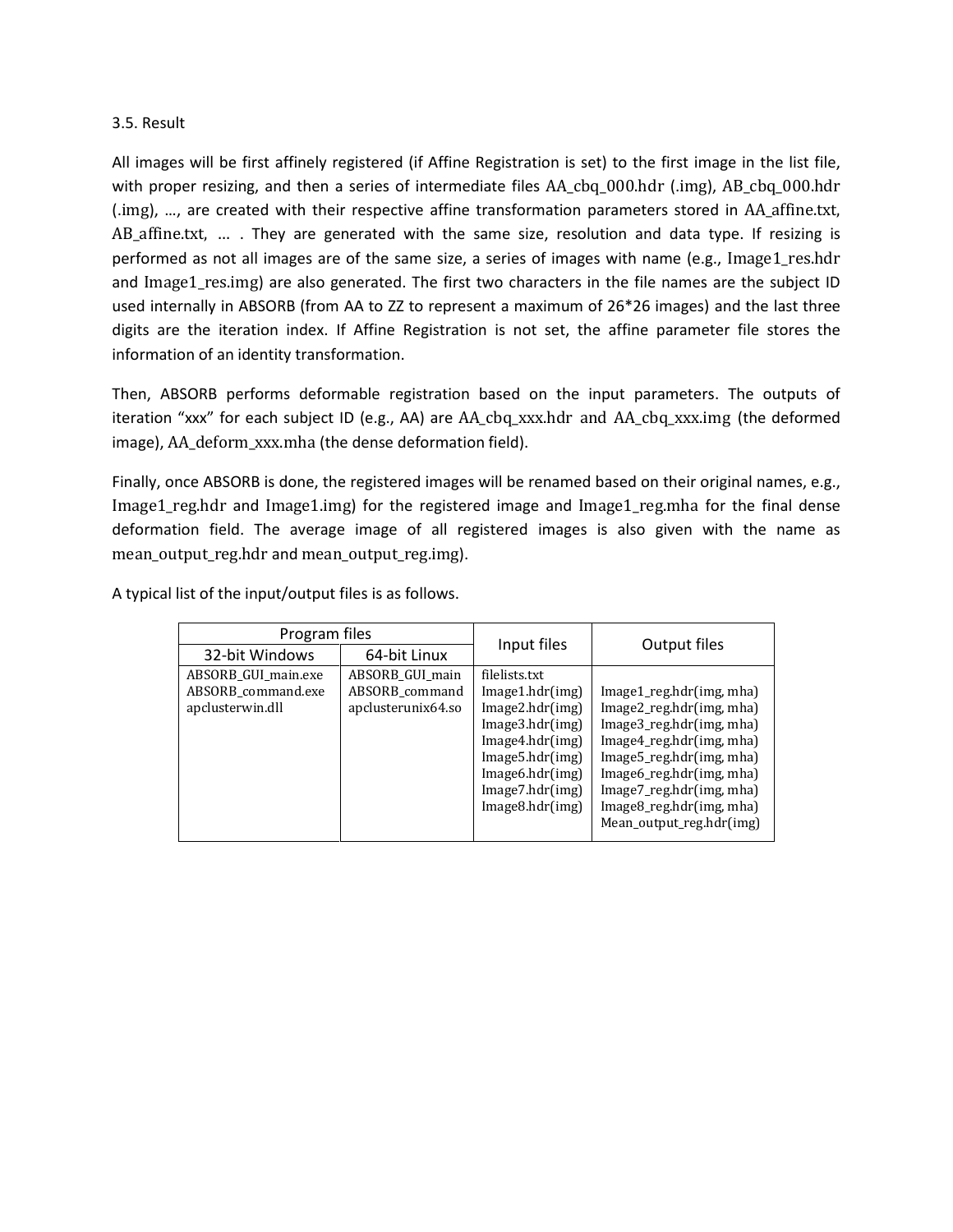### 3.5. Result

All images will be first affinely registered (if Affine Registration is set) to the first image in the list file, with proper resizing, and then a series of intermediate files AA\_cbq\_000.hdr (.img), AB\_cbq\_000.hdr (.img), …, are created with their respective affine transformation parameters stored in AA\_affine.txt, AB\_affine.txt, … . They are generated with the same size, resolution and data type. If resizing is performed as not all images are of the same size, a series of images with name (e.g., Image1\_res.hdr and Image1\_res.img) are also generated. The first two characters in the file names are the subject ID used internally in ABSORB (from AA to ZZ to represent a maximum of 26\*26 images) and the last three digits are the iteration index. If Affine Registration is not set, the affine parameter file stores the information of an identity transformation.

Then, ABSORB performs deformable registration based on the input parameters. The outputs of iteration "xxx" for each subject ID (e.g., AA) are AA\_cbq\_xxx.hdr and AA\_cbq\_xxx.img (the deformed image), AA\_deform\_xxx.mha (the dense deformation field).

Finally, once ABSORB is done, the registered images will be renamed based on their original names, e.g., Image1\_reg.hdr and Image1.img) for the registered image and Image1\_reg.mha for the final dense deformation field. The average image of all registered images is also given with the name as mean\_output\_reg.hdr and mean\_output\_reg.img).

| Program files                                                 |                                                         |                                                                                                                                                                       |                                                                                                                                                                                                                                                                                                       |
|---------------------------------------------------------------|---------------------------------------------------------|-----------------------------------------------------------------------------------------------------------------------------------------------------------------------|-------------------------------------------------------------------------------------------------------------------------------------------------------------------------------------------------------------------------------------------------------------------------------------------------------|
| 32-bit Windows                                                | 64-bit Linux                                            | Input files                                                                                                                                                           | Output files                                                                                                                                                                                                                                                                                          |
| ABSORB_GUI_main.exe<br>ABSORB command.exe<br>apclusterwin.dll | ABSORB GUI main<br>ABSORB command<br>apclusterunix64.so | filelists.txt<br>Image1.hdr(img)<br>Image2.hdr(img)<br>Image3.hdr(img)<br>Image4.hdr(img)<br>Image5.hdr(img)<br>Image6.hdr(img)<br>Image7.hdr(img)<br>Image8.hdr(img) | $Image1_{reg}$ .hdr(img, mha)<br>$Image2_{reg}$ .hdr $(img, mha)$<br>Image3_reg.hdr(img, mha)<br>Image4 reg.hdr $(\text{img}, \text{mha})$<br>Image5_reg.hdr(img, mha)<br>$Image6_{reg}$ .hdr $(img, mha)$<br>Image7_reg.hdr(img, mha)<br>$Image8_{reg}$ .hdr $(mg, mha)$<br>Mean_output_reg.hdr(img) |

A typical list of the input/output files is as follows.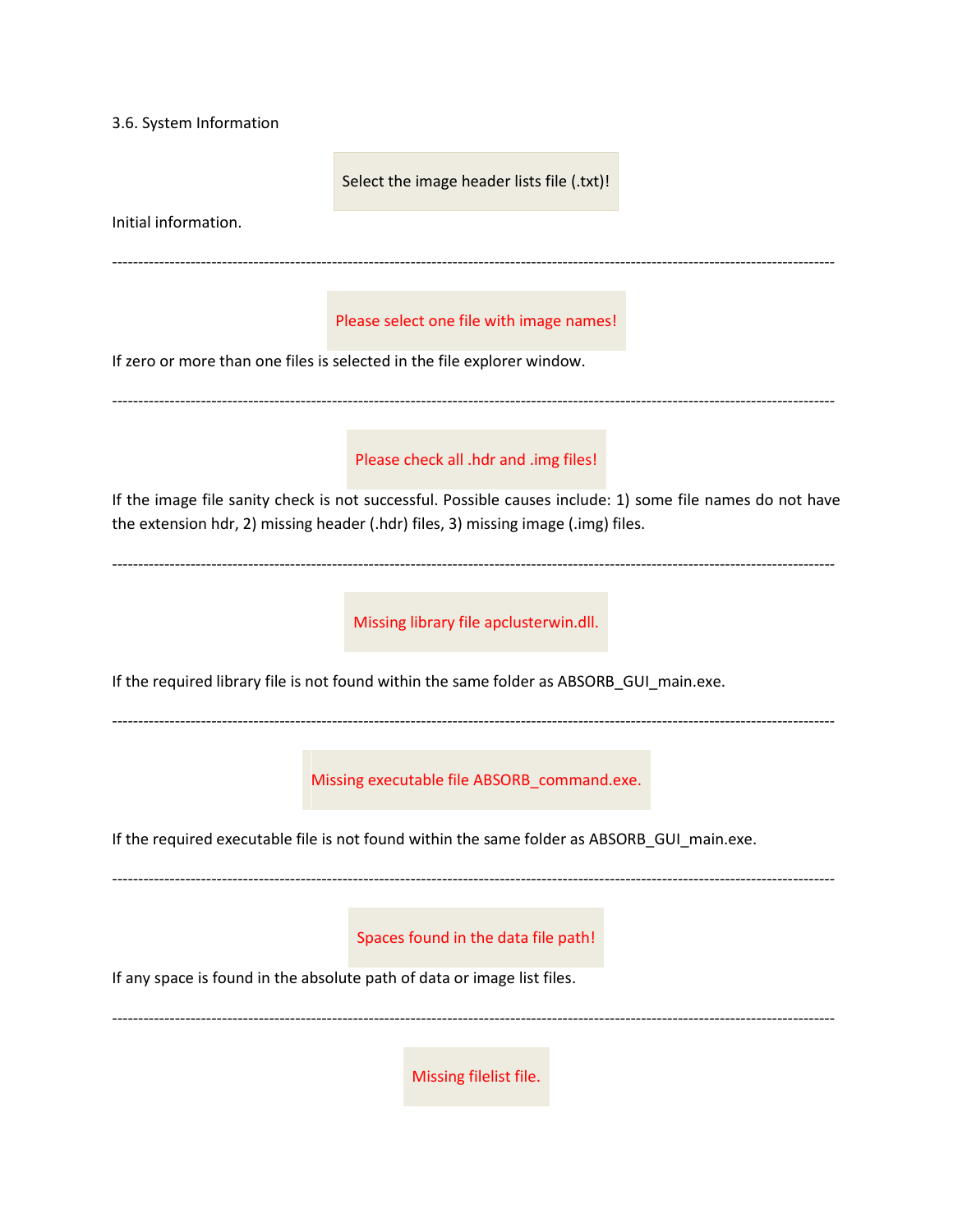

Select the image header lists file (.txt)!

Initial information.

#### Please select one file with image names!

------------------------------------------------------------------------------------------------------------------------------------------

If zero or more than one files is selected in the file explorer window.

#### Please check all .hdr and .img files!

If the image file sanity check is not successful. Possible causes include: 1) some file names do not have the extension hdr, 2) missing header (.hdr) files, 3) missing image (.img) files.

------------------------------------------------------------------------------------------------------------------------------------------

------------------------------------------------------------------------------------------------------------------------------------------

Missing library file apclusterwin.dll.

If the required library file is not found within the same folder as ABSORB\_GUI\_main.exe.

Missing executable file ABSORB\_command.exe.

------------------------------------------------------------------------------------------------------------------------------------------

If the required executable file is not found within the same folder as ABSORB GUI main.exe.

Spaces found in the data file path!

------------------------------------------------------------------------------------------------------------------------------------------

If any space is found in the absolute path of data or image list files.

Missing filelist file.

------------------------------------------------------------------------------------------------------------------------------------------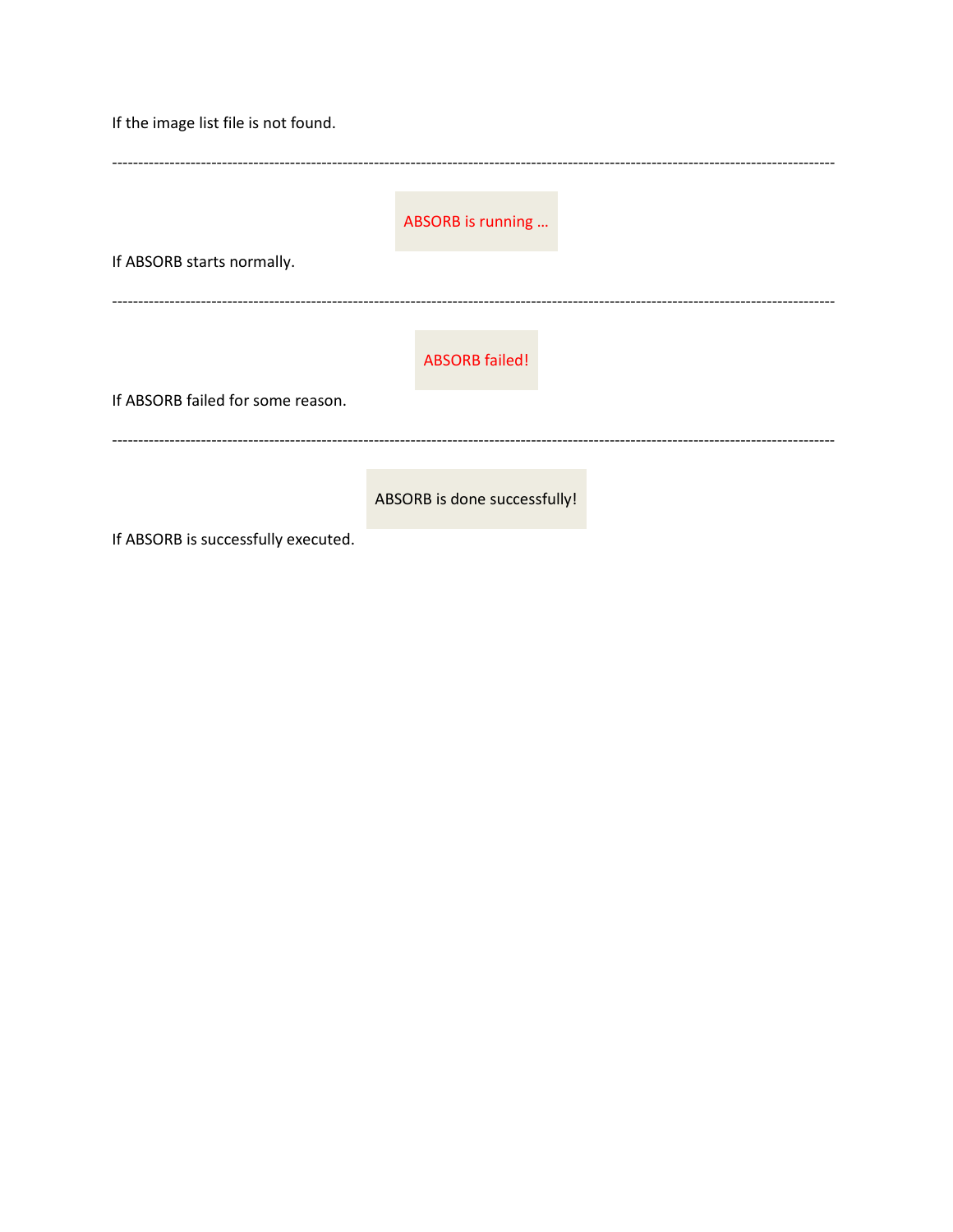If the image list file is not found. ABSORB is running ... If ABSORB starts normally. **ABSORB failed!** If ABSORB failed for some reason. ABSORB is done successfully! If ABSORB is successfully executed.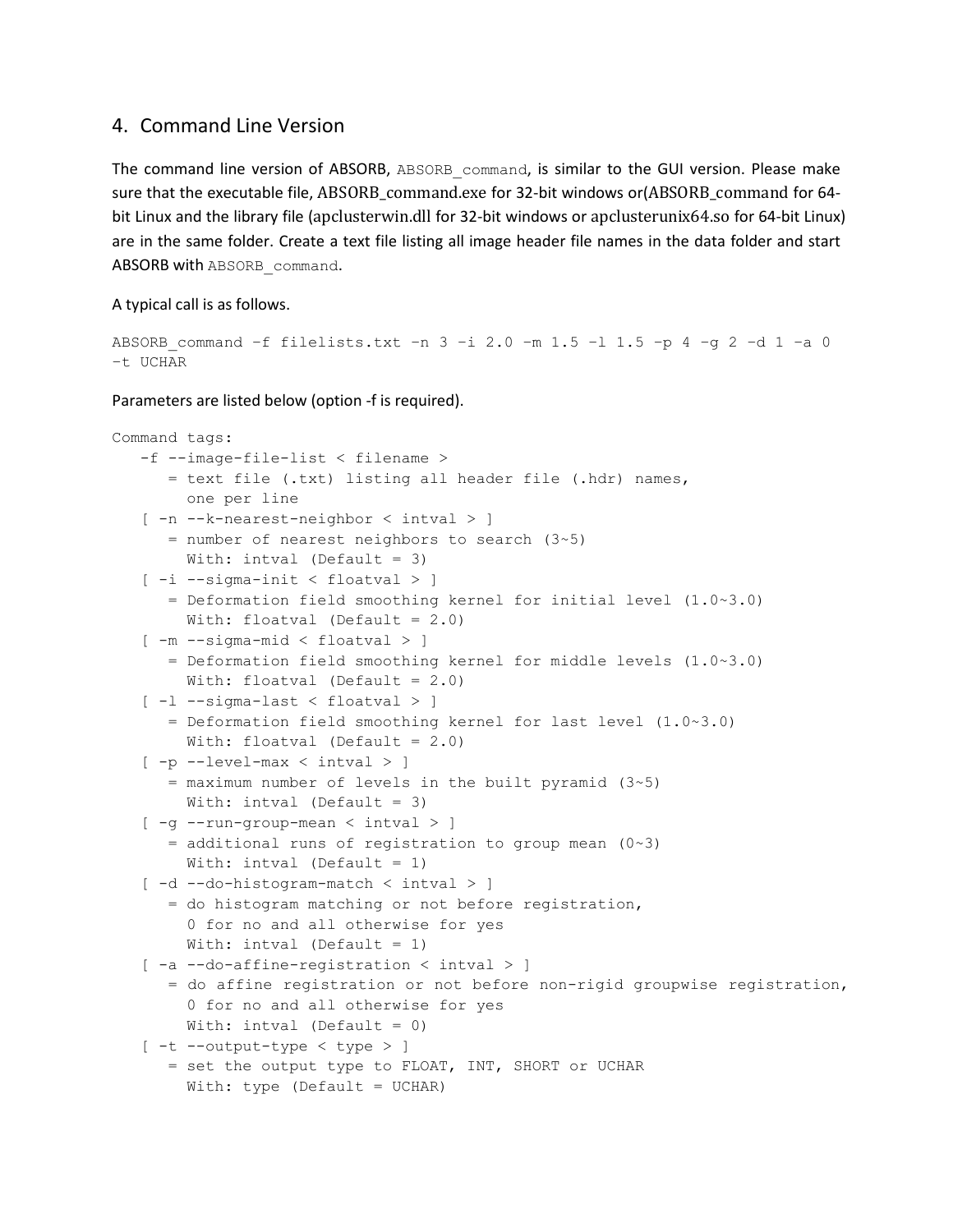## 4. Command Line Version

The command line version of ABSORB, ABSORB command, is similar to the GUI version. Please make sure that the executable file, ABSORB\_command.exe for 32-bit windows or(ABSORB\_command for 64bit Linux and the library file (apclusterwin.dll for 32-bit windows or apclusterunix64.so for 64-bit Linux) are in the same folder. Create a text file listing all image header file names in the data folder and start ABSORB with ABSORB\_command.

A typical call is as follows.

```
ABSORB command –f filelists.txt –n 3 –i 2.0 –m 1.5 –l 1.5 –p 4 –q 2 –d 1 –a 0
–t UCHAR
```
Parameters are listed below (option -f is required).

```
Command tags:
    -f --image-file-list < filename >
       = text file (.txt) listing all header file (.hdr) names,
         one per line
    [ -n --k-nearest-neighbor < intval > ]
       = number of nearest neighbors to search (3~5)
        With: intval (Default = 3)
    [ -i --sigma-init < floatval > ]
      = Deformation field smoothing kernel for initial level (1.0~3.0)With: floatval (Default = 2.0)
    [ -m --sigma-mid < floatval > ]
      = Deformation field smoothing kernel for middle levels (1.0~3.0)With: floatval (Default = 2.0)
    [ -l --sigma-last < floatval > ]
      = Deformation field smoothing kernel for last level (1.0~9.0)With: floatval (Default = 2.0)
    [ -p --level-max < intval > ]
      = maximum number of levels in the built pyramid (3~5)
       With: intval (Default = 3)
   [-q -run-group-mean \lt interval > ]= additional runs of registration to group mean (0~3)
        With: intval (Default = 1)
    [ -d --do-histogram-match < intval > ]
       = do histogram matching or not before registration,
         0 for no and all otherwise for yes
        With: intval (Default = 1)
    [ -a --do-affine-registration < intval > ]
       = do affine registration or not before non-rigid groupwise registration,
         0 for no and all otherwise for yes
        With: intval (Default = 0)
   [-t --output-type < type > ]= set the output type to FLOAT, INT, SHORT or UCHAR
        With: type (Default = UCHAR)
```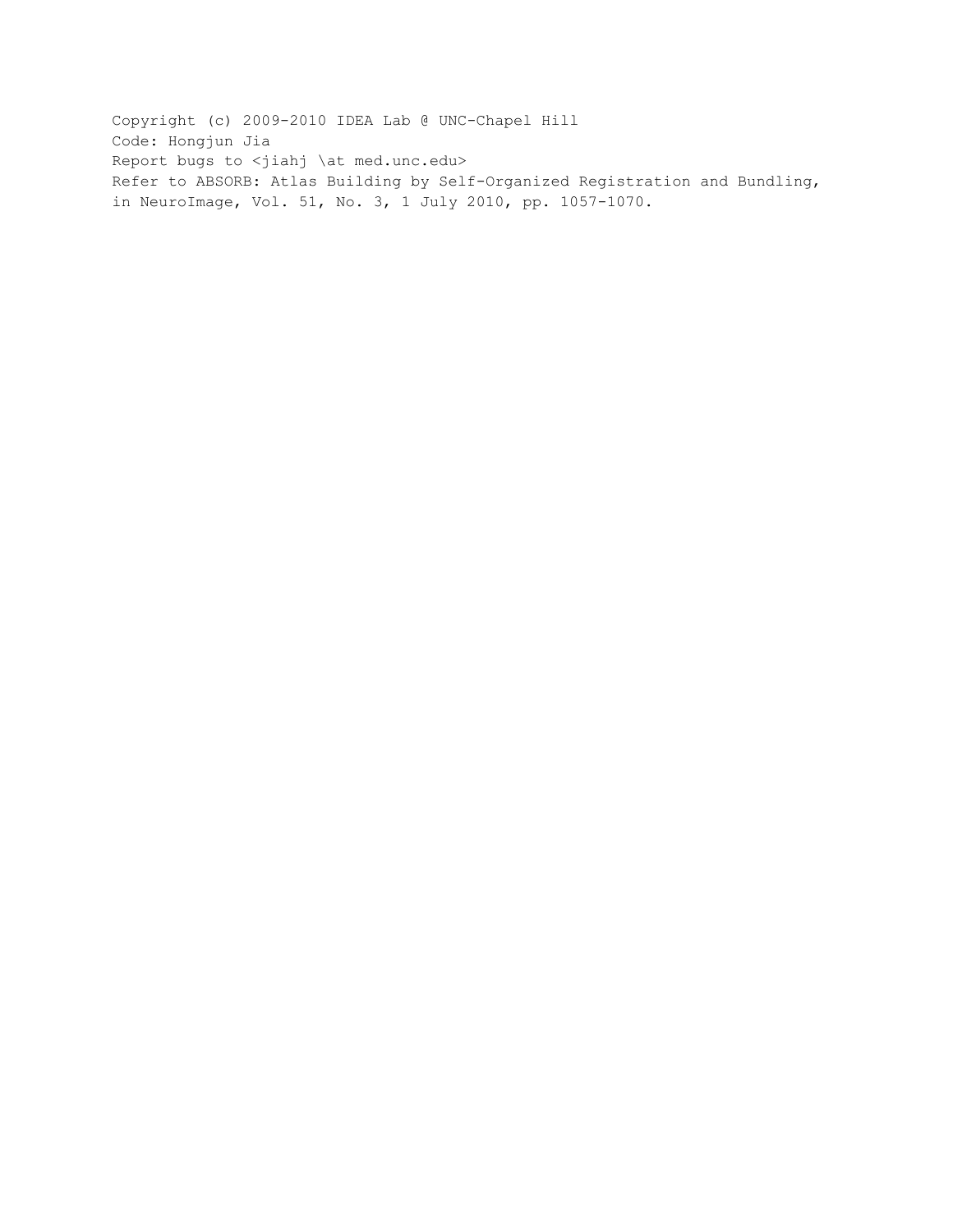Copyright (c) 2009-2010 IDEA Lab @ UNC-Chapel Hill Code: Hongjun Jia Report bugs to <jiahj \at med.unc.edu> Refer to ABSORB: Atlas Building by Self-Organized Registration and Bundling, in NeuroImage, Vol. 51, No. 3, 1 July 2010, pp. 1057-1070.